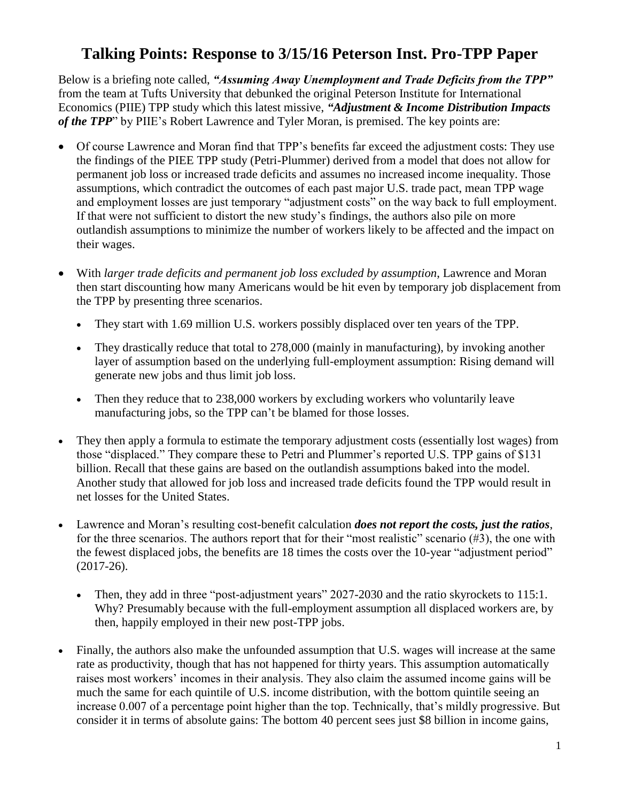# **Talking Points: Response to 3/15/16 Peterson Inst. Pro-TPP Paper**

Below is a briefing note called, *"Assuming Away Unemployment and Trade Deficits from the TPP"*  from the team at Tufts University that debunked the original Peterson Institute for International Economics (PIIE) TPP study which this latest missive, *"Adjustment & Income Distribution Impacts of the TPP*" by PIIE's Robert Lawrence and Tyler Moran, is premised. The key points are:

- Of course Lawrence and Moran find that TPP's benefits far exceed the adjustment costs: They use the findings of the PIEE TPP study (Petri-Plummer) derived from a model that does not allow for permanent job loss or increased trade deficits and assumes no increased income inequality. Those assumptions, which contradict the outcomes of each past major U.S. trade pact, mean TPP wage and employment losses are just temporary "adjustment costs" on the way back to full employment. If that were not sufficient to distort the new study's findings, the authors also pile on more outlandish assumptions to minimize the number of workers likely to be affected and the impact on their wages.
- With *larger trade deficits and permanent job loss excluded by assumption*, Lawrence and Moran then start discounting how many Americans would be hit even by temporary job displacement from the TPP by presenting three scenarios.
	- They start with 1.69 million U.S. workers possibly displaced over ten years of the TPP.
	- They drastically reduce that total to 278,000 (mainly in manufacturing), by invoking another layer of assumption based on the underlying full-employment assumption: Rising demand will generate new jobs and thus limit job loss.
	- Then they reduce that to 238,000 workers by excluding workers who voluntarily leave manufacturing jobs, so the TPP can't be blamed for those losses.
- They then apply a formula to estimate the temporary adjustment costs (essentially lost wages) from those "displaced." They compare these to Petri and Plummer's reported U.S. TPP gains of \$131 billion. Recall that these gains are based on the outlandish assumptions baked into the model. Another study that allowed for job loss and increased trade deficits found the TPP would result in net losses for the United States.
- Lawrence and Moran's resulting cost-benefit calculation *does not report the costs, just the ratios*, for the three scenarios. The authors report that for their "most realistic" scenario (#3), the one with the fewest displaced jobs, the benefits are 18 times the costs over the 10-year "adjustment period" (2017-26).
	- Then, they add in three "post-adjustment years" 2027-2030 and the ratio skyrockets to 115:1. Why? Presumably because with the full-employment assumption all displaced workers are, by then, happily employed in their new post-TPP jobs.
- Finally, the authors also make the unfounded assumption that U.S. wages will increase at the same rate as productivity, though that has not happened for thirty years. This assumption automatically raises most workers' incomes in their analysis. They also claim the assumed income gains will be much the same for each quintile of U.S. income distribution, with the bottom quintile seeing an increase 0.007 of a percentage point higher than the top. Technically, that's mildly progressive. But consider it in terms of absolute gains: The bottom 40 percent sees just \$8 billion in income gains,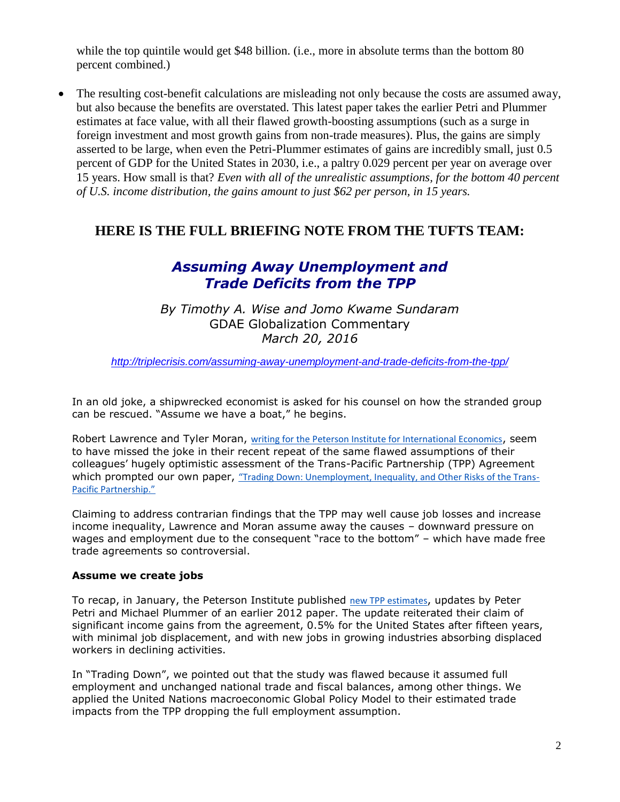while the top quintile would get \$48 billion. (i.e., more in absolute terms than the bottom 80 percent combined.)

 The resulting cost-benefit calculations are misleading not only because the costs are assumed away, but also because the benefits are overstated. This latest paper takes the earlier Petri and Plummer estimates at face value, with all their flawed growth-boosting assumptions (such as a surge in foreign investment and most growth gains from non-trade measures). Plus, the gains are simply asserted to be large, when even the Petri-Plummer estimates of gains are incredibly small, just 0.5 percent of GDP for the United States in 2030, i.e., a paltry 0.029 percent per year on average over 15 years. How small is that? *Even with all of the unrealistic assumptions, for the bottom 40 percent of U.S. income distribution, the gains amount to just \$62 per person, in 15 years.*

### **HERE IS THE FULL BRIEFING NOTE FROM THE TUFTS TEAM:**

## *Assuming Away Unemployment and Trade Deficits from the TPP*

*By Timothy A. Wise and Jomo Kwame Sundaram* GDAE Globalization Commentary *March 20, 2016*

*<http://triplecrisis.com/assuming-away-unemployment-and-trade-deficits-from-the-tpp/>*

In an old joke, a shipwrecked economist is asked for his counsel on how the stranded group can be rescued. "Assume we have a boat," he begins.

Robert Lawrence and Tyler Moran, [writing for the Peterson Institute for International Economics](http://tufts.us5.list-manage.com/track/click?u=74907371d448da77287940e4d&id=fa2ad7483a&e=3c8284677a), seem to have missed the joke in their recent repeat of the same flawed assumptions of their colleagues' hugely optimistic assessment of the Trans-Pacific Partnership (TPP) Agreement which prompted our own paper, ["Trading Down: Unemployment, Inequality, and Other Risks of the Trans](http://tufts.us5.list-manage1.com/track/click?u=74907371d448da77287940e4d&id=a0a8ea2869&e=3c8284677a)-[Pacific Partnership."](http://tufts.us5.list-manage1.com/track/click?u=74907371d448da77287940e4d&id=a0a8ea2869&e=3c8284677a)

Claiming to address contrarian findings that the TPP may well cause job losses and increase income inequality, Lawrence and Moran assume away the causes – downward pressure on wages and employment due to the consequent "race to the bottom" – which have made free trade agreements so controversial.

#### **Assume we create jobs**

To recap, in January, the Peterson Institute published [new TPP estimates](http://tufts.us5.list-manage1.com/track/click?u=74907371d448da77287940e4d&id=7e521450a1&e=3c8284677a), updates by Peter Petri and Michael Plummer of an earlier 2012 paper. The update reiterated their claim of significant income gains from the agreement, 0.5% for the United States after fifteen years, with minimal job displacement, and with new jobs in growing industries absorbing displaced workers in declining activities.

In "Trading Down", we pointed out that the study was flawed because it assumed full employment and unchanged national trade and fiscal balances, among other things. We applied the United Nations macroeconomic Global Policy Model to their estimated trade impacts from the TPP dropping the full employment assumption.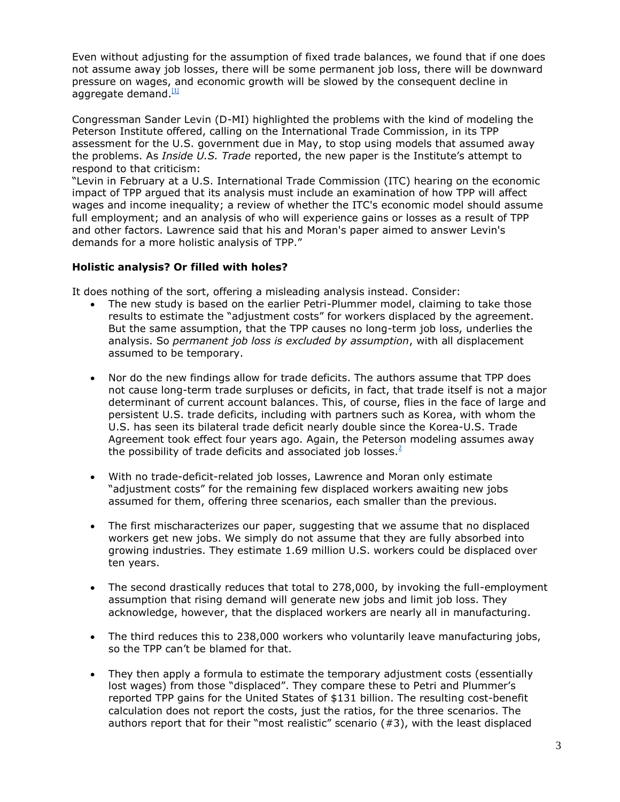Even without adjusting for the assumption of fixed trade balances, we found that if one does not assume away job losses, there will be some permanent job loss, there will be downward pressure on wages, and economic growth will be slowed by the consequent decline in aggregate demand.<sup>[\[1\]](#page-4-0)</sup>

<span id="page-2-0"></span>Congressman Sander Levin (D-MI) highlighted the problems with the kind of modeling the Peterson Institute offered, calling on the International Trade Commission, in its TPP assessment for the U.S. government due in May, to stop using models that assumed away the problems. As *Inside U.S. Trade* reported, the new paper is the Institute's attempt to respond to that criticism:

"Levin in February at a U.S. International Trade Commission (ITC) hearing on the economic impact of TPP argued that its analysis must include an examination of how TPP will affect wages and income inequality; a review of whether the ITC's economic model should assume full employment; and an analysis of who will experience gains or losses as a result of TPP and other factors. Lawrence said that his and Moran's paper aimed to answer Levin's demands for a more holistic analysis of TPP."

### **Holistic analysis? Or filled with holes?**

It does nothing of the sort, offering a misleading analysis instead. Consider:

- The new study is based on the earlier Petri-Plummer model, claiming to take those results to estimate the "adjustment costs" for workers displaced by the agreement. But the same assumption, that the TPP causes no long-term job loss, underlies the analysis. So *permanent job loss is excluded by assumption*, with all displacement assumed to be temporary.
- Nor do the new findings allow for trade deficits. The authors assume that TPP does not cause long-term trade surpluses or deficits, in fact, that trade itself is not a major determinant of current account balances. This, of course, flies in the face of large and persistent U.S. trade deficits, including with partners such as Korea, with whom the U.S. has seen its bilateral trade deficit nearly double since the Korea-U.S. Trade Agreement took effect four years ago. Again, the Peterson modeling assumes away the possibility of trade deficits and associated job losses[.](#page-4-1) $2^2$
- <span id="page-2-1"></span> With no trade-deficit-related job losses, Lawrence and Moran only estimate "adjustment costs" for the remaining few displaced workers awaiting new jobs assumed for them, offering three scenarios, each smaller than the previous.
- The first mischaracterizes our paper, suggesting that we assume that no displaced workers get new jobs. We simply do not assume that they are fully absorbed into growing industries. They estimate 1.69 million U.S. workers could be displaced over ten years.
- The second drastically reduces that total to 278,000, by invoking the full-employment assumption that rising demand will generate new jobs and limit job loss. They acknowledge, however, that the displaced workers are nearly all in manufacturing.
- The third reduces this to 238,000 workers who voluntarily leave manufacturing jobs, so the TPP can't be blamed for that.
- They then apply a formula to estimate the temporary adjustment costs (essentially lost wages) from those "displaced". They compare these to Petri and Plummer's reported TPP gains for the United States of \$131 billion. The resulting cost-benefit calculation does not report the costs, just the ratios, for the three scenarios. The authors report that for their "most realistic" scenario  $(#3)$ , with the least displaced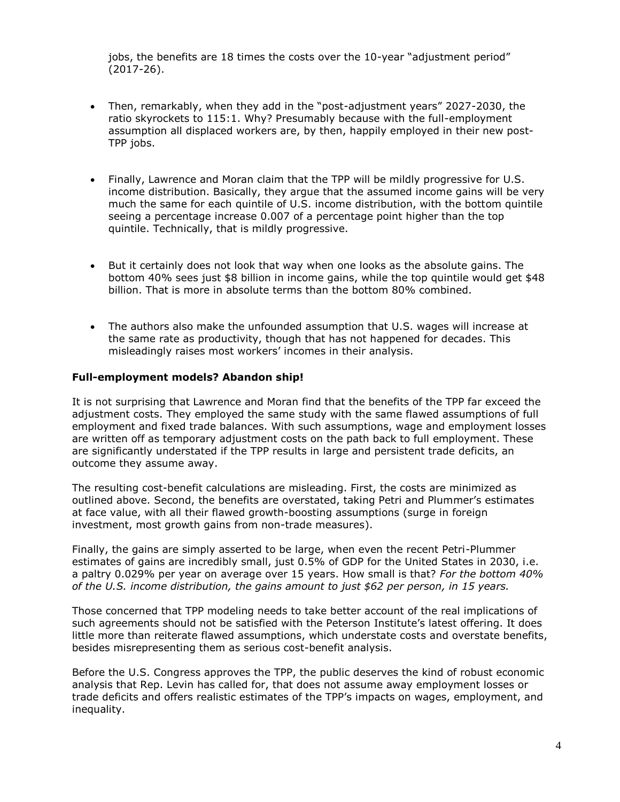jobs, the benefits are 18 times the costs over the 10-year "adjustment period" (2017-26).

- Then, remarkably, when they add in the "post-adjustment years" 2027-2030, the ratio skyrockets to 115:1. Why? Presumably because with the full-employment assumption all displaced workers are, by then, happily employed in their new post-TPP jobs.
- Finally, Lawrence and Moran claim that the TPP will be mildly progressive for U.S. income distribution. Basically, they argue that the assumed income gains will be very much the same for each quintile of U.S. income distribution, with the bottom quintile seeing a percentage increase 0.007 of a percentage point higher than the top quintile. Technically, that is mildly progressive.
- But it certainly does not look that way when one looks as the absolute gains. The bottom 40% sees just \$8 billion in income gains, while the top quintile would get \$48 billion. That is more in absolute terms than the bottom 80% combined.
- The authors also make the unfounded assumption that U.S. wages will increase at the same rate as productivity, though that has not happened for decades. This misleadingly raises most workers' incomes in their analysis.

#### **Full-employment models? Abandon ship!**

It is not surprising that Lawrence and Moran find that the benefits of the TPP far exceed the adjustment costs. They employed the same study with the same flawed assumptions of full employment and fixed trade balances. With such assumptions, wage and employment losses are written off as temporary adjustment costs on the path back to full employment. These are significantly understated if the TPP results in large and persistent trade deficits, an outcome they assume away.

The resulting cost-benefit calculations are misleading. First, the costs are minimized as outlined above. Second, the benefits are overstated, taking Petri and Plummer's estimates at face value, with all their flawed growth-boosting assumptions (surge in foreign investment, most growth gains from non-trade measures).

Finally, the gains are simply asserted to be large, when even the recent Petri-Plummer estimates of gains are incredibly small, just 0.5% of GDP for the United States in 2030, i.e. a paltry 0.029% per year on average over 15 years. How small is that? *For the bottom 40% of the U.S. income distribution, the gains amount to just \$62 per person, in 15 years.*

Those concerned that TPP modeling needs to take better account of the real implications of such agreements should not be satisfied with the Peterson Institute's latest offering. It does little more than reiterate flawed assumptions, which understate costs and overstate benefits, besides misrepresenting them as serious cost-benefit analysis.

Before the U.S. Congress approves the TPP, the public deserves the kind of robust economic analysis that Rep. Levin has called for, that does not assume away employment losses or trade deficits and offers realistic estimates of the TPP's impacts on wages, employment, and inequality.